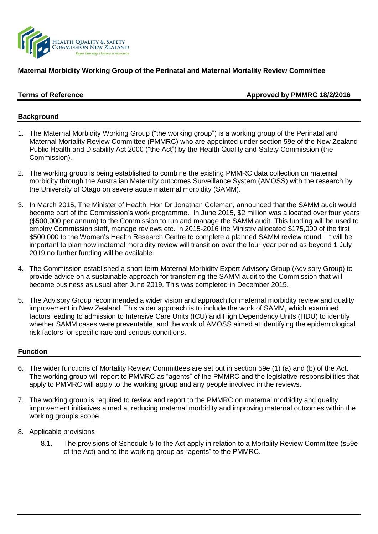

# **Maternal Morbidity Working Group of the Perinatal and Maternal Mortality Review Committee**

# **Terms of Reference Approved by PMMRC 18/2/2016**

## **Background**

- 1. The Maternal Morbidity Working Group ("the working group") is a working group of the Perinatal and Maternal Mortality Review Committee (PMMRC) who are appointed under section 59e of the New Zealand Public Health and Disability Act 2000 ("the Act") by the Health Quality and Safety Commission (the Commission).
- 2. The working group is being established to combine the existing PMMRC data collection on maternal morbidity through the Australian Maternity outcomes Surveillance System (AMOSS) with the research by the University of Otago on severe acute maternal morbidity (SAMM).
- 3. In March 2015, The Minister of Health, Hon Dr Jonathan Coleman, announced that the SAMM audit would become part of the Commission's work programme. In June 2015, \$2 million was allocated over four years (\$500,000 per annum) to the Commission to run and manage the SAMM audit. This funding will be used to employ Commission staff, manage reviews etc. In 2015-2016 the Ministry allocated \$175,000 of the first \$500,000 to the Women's Health Research Centre to complete a planned SAMM review round. It will be important to plan how maternal morbidity review will transition over the four year period as beyond 1 July 2019 no further funding will be available.
- 4. The Commission established a short-term Maternal Morbidity Expert Advisory Group (Advisory Group) to provide advice on a sustainable approach for transferring the SAMM audit to the Commission that will become business as usual after June 2019. This was completed in December 2015.
- 5. The Advisory Group recommended a wider vision and approach for maternal morbidity review and quality improvement in New Zealand. This wider approach is to include the work of SAMM, which examined factors leading to admission to Intensive Care Units (ICU) and High Dependency Units (HDU) to identify whether SAMM cases were preventable, and the work of AMOSS aimed at identifying the epidemiological risk factors for specific rare and serious conditions.

## **Function**

- 6. The wider functions of Mortality Review Committees are set out in section 59e (1) (a) and (b) of the Act. The working group will report to PMMRC as "agents" of the PMMRC and the legislative responsibilities that apply to PMMRC will apply to the working group and any people involved in the reviews.
- 7. The working group is required to review and report to the PMMRC on maternal morbidity and quality improvement initiatives aimed at reducing maternal morbidity and improving maternal outcomes within the working group's scope.
- 8. Applicable provisions
	- 8.1. The provisions of Schedule 5 to the Act apply in relation to a Mortality Review Committee (s59e of the Act) and to the working group as "agents" to the PMMRC.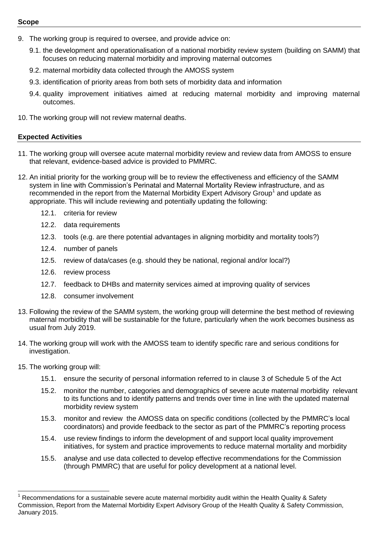#### **Scope**

- 9. The working group is required to oversee, and provide advice on:
	- 9.1. the development and operationalisation of a national morbidity review system (building on SAMM) that focuses on reducing maternal morbidity and improving maternal outcomes
	- 9.2. maternal morbidity data collected through the AMOSS system
	- 9.3. identification of priority areas from both sets of morbidity data and information
	- 9.4. quality improvement initiatives aimed at reducing maternal morbidity and improving maternal outcomes.
- 10. The working group will not review maternal deaths.

# **Expected Activities**

- 11. The working group will oversee acute maternal morbidity review and review data from AMOSS to ensure that relevant, evidence-based advice is provided to PMMRC.
- 12. An initial priority for the working group will be to review the effectiveness and efficiency of the SAMM system in line with Commission's Perinatal and Maternal Mortality Review infrastructure, and as recommended in the report from the Maternal Morbidity Expert Advisory Group<sup>1</sup> and update as appropriate. This will include reviewing and potentially updating the following:
	- 12.1. criteria for review
	- 12.2. data requirements
	- 12.3. tools (e.g. are there potential advantages in aligning morbidity and mortality tools?)
	- 12.4. number of panels
	- 12.5. review of data/cases (e.g. should they be national, regional and/or local?)
	- 12.6. review process
	- 12.7. feedback to DHBs and maternity services aimed at improving quality of services
	- 12.8. consumer involvement
- 13. Following the review of the SAMM system, the working group will determine the best method of reviewing maternal morbidity that will be sustainable for the future, particularly when the work becomes business as usual from July 2019.
- 14. The working group will work with the AMOSS team to identify specific rare and serious conditions for investigation.
- 15. The working group will:

- 15.1. ensure the security of personal information referred to in clause 3 of Schedule 5 of the Act
- 15.2. monitor the number, categories and demographics of severe acute maternal morbidity relevant to its functions and to identify patterns and trends over time in line with the updated maternal morbidity review system
- 15.3. monitor and review the AMOSS data on specific conditions (collected by the PMMRC's local coordinators) and provide feedback to the sector as part of the PMMRC's reporting process
- 15.4. use review findings to inform the development of and support local quality improvement initiatives, for system and practice improvements to reduce maternal mortality and morbidity
- 15.5. analyse and use data collected to develop effective recommendations for the Commission (through PMMRC) that are useful for policy development at a national level.

<sup>1</sup> Recommendations for a sustainable severe acute maternal morbidity audit within the Health Quality & Safety Commission, Report from the Maternal Morbidity Expert Advisory Group of the Health Quality & Safety Commission, January 2015.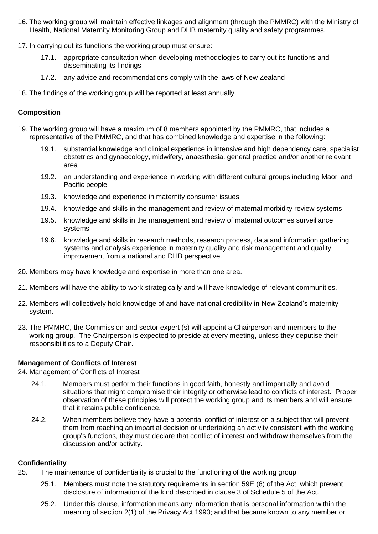- 16. The working group will maintain effective linkages and alignment (through the PMMRC) with the Ministry of Health, National Maternity Monitoring Group and DHB maternity quality and safety programmes.
- 17. In carrying out its functions the working group must ensure:
	- 17.1. appropriate consultation when developing methodologies to carry out its functions and disseminating its findings
	- 17.2. any advice and recommendations comply with the laws of New Zealand
- 18. The findings of the working group will be reported at least annually.

# **Composition**

- 19. The working group will have a maximum of 8 members appointed by the PMMRC, that includes a representative of the PMMRC, and that has combined knowledge and expertise in the following:
	- 19.1. substantial knowledge and clinical experience in intensive and high dependency care, specialist obstetrics and gynaecology, midwifery, anaesthesia, general practice and/or another relevant area
	- 19.2. an understanding and experience in working with different cultural groups including Maori and Pacific people
	- 19.3. knowledge and experience in maternity consumer issues
	- 19.4. knowledge and skills in the management and review of maternal morbidity review systems
	- 19.5. knowledge and skills in the management and review of maternal outcomes surveillance systems
	- 19.6. knowledge and skills in research methods, research process, data and information gathering systems and analysis experience in maternity quality and risk management and quality improvement from a national and DHB perspective.
- 20. Members may have knowledge and expertise in more than one area.
- 21. Members will have the ability to work strategically and will have knowledge of relevant communities.
- 22. Members will collectively hold knowledge of and have national credibility in New Zealand's maternity system.
- 23. The PMMRC, the Commission and sector expert (s) will appoint a Chairperson and members to the working group. The Chairperson is expected to preside at every meeting, unless they deputise their responsibilities to a Deputy Chair.

# **Management of Conflicts of Interest**

24. Management of Conflicts of Interest

- 24.1. Members must perform their functions in good faith, honestly and impartially and avoid situations that might compromise their integrity or otherwise lead to conflicts of interest. Proper observation of these principles will protect the working group and its members and will ensure that it retains public confidence.
- 24.2. When members believe they have a potential conflict of interest on a subject that will prevent them from reaching an impartial decision or undertaking an activity consistent with the working group's functions, they must declare that conflict of interest and withdraw themselves from the discussion and/or activity.

## **Confidentiality**

- 25. The maintenance of confidentiality is crucial to the functioning of the working group
	- 25.1. Members must note the statutory requirements in section 59E (6) of the Act, which prevent disclosure of information of the kind described in clause 3 of Schedule 5 of the Act.
	- 25.2. Under this clause, information means any information that is personal information within the meaning of section 2(1) of the Privacy Act 1993; and that became known to any member or